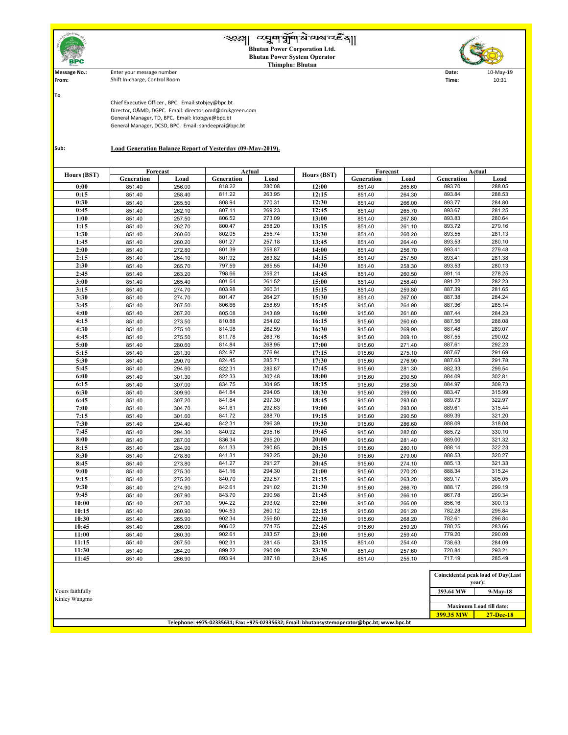**8:30 | 8**51.40 | 278.80 | 841.31 | 292.25 | **20:30 |** 915.60 | 279.00 | 888.53 | 320.27 **8:45** 851.40 273.80 841.27 20:**45** 915.60 274.10 885.13 321.33 **9:00** 851.40 275.30 841.16 294.30 **21:00** 915.60 270.20 888.34 315.24

| n Elal alian                                                              | <i>द</i> ्युणभूषिके व्यबन्दद्दैव  <br><b>Bhutan Power Corporation Ltd.</b><br><b>Bhutan Power System Operator</b><br><b>Thimphu: Bhutan</b>                                                                              |          |               |        |             |            |        |                |                    |  |
|---------------------------------------------------------------------------|--------------------------------------------------------------------------------------------------------------------------------------------------------------------------------------------------------------------------|----------|---------------|--------|-------------|------------|--------|----------------|--------------------|--|
| <b>Message No.:</b><br>From:                                              | Enter your message number<br>Shift In-charge, Control Room                                                                                                                                                               |          |               |        |             |            |        | Date:<br>Time: | 10-May-19<br>10:31 |  |
|                                                                           |                                                                                                                                                                                                                          |          |               |        |             |            |        |                |                    |  |
| <b>To</b>                                                                 |                                                                                                                                                                                                                          |          |               |        |             |            |        |                |                    |  |
|                                                                           | Chief Executive Officer, BPC. Email:stobjey@bpc.bt<br>Director, O&MD, DGPC. Email: director.omd@drukgreen.com<br>General Manager, TD, BPC. Email: ktobgye@bpc.bt<br>General Manager, DCSD, BPC. Email: sandeeprai@bpc.bt |          |               |        |             |            |        |                |                    |  |
| <b>Load Generation Balance Report of Yesterday (09-May-2019).</b><br>Sub: |                                                                                                                                                                                                                          |          |               |        |             |            |        |                |                    |  |
|                                                                           |                                                                                                                                                                                                                          | Forecast | <b>Actual</b> |        |             | Forecast   |        | <b>Actual</b>  |                    |  |
| <b>Hours (BST)</b>                                                        | Generation                                                                                                                                                                                                               | Load     | Generation    | Load   | Hours (BST) | Generation | Load   | Generation     | Load               |  |
| 0:00                                                                      | 851.40                                                                                                                                                                                                                   | 256.00   | 818.22        | 280.08 | 12:00       | 851.40     | 265.60 | 893.70         | 288.05             |  |
| 0:15                                                                      | 851.40                                                                                                                                                                                                                   | 258.40   | 811.22        | 263.95 | 12:15       | 851.40     | 264.30 | 893.84         | 288.53             |  |
| 0:30                                                                      | 851.40                                                                                                                                                                                                                   | 265.50   | 808.94        | 270.31 | 12:30       | 851.40     | 266.00 | 893.77         | 284.80             |  |
| 0:45                                                                      | 851.40                                                                                                                                                                                                                   | 262.10   | 807.11        | 269.23 | 12:45       | 851.40     | 265.70 | 893.67         | 281.25             |  |
| 1:00                                                                      | 851.40                                                                                                                                                                                                                   | 257.50   | 806.52        | 273.09 | 13:00       | 851.40     | 267.80 | 893.83         | 280.64             |  |
| 1:15                                                                      | 851.40                                                                                                                                                                                                                   | 262.70   | 800.47        | 258.20 | 13:15       | 851.40     | 261.10 | 893.72         | 279.16             |  |
| 1:30                                                                      | 851.40                                                                                                                                                                                                                   | 260.60   | 802.05        | 255.74 | 13:30       | 851.40     | 260.20 | 893.55         | 281.13             |  |
| 1:45                                                                      | 851.40                                                                                                                                                                                                                   | 260.20   | 801.27        | 257.18 | 13:45       | 851.40     | 264.40 | 893.53         | 280.10             |  |
| 2:00                                                                      | 851.40                                                                                                                                                                                                                   | 272.80   | 801.39        | 259.87 | 14:00       | 851.40     | 256.70 | 893.41         | 279.48             |  |
| 2:15                                                                      | 851.40                                                                                                                                                                                                                   | 264.10   | 801.92        | 263.82 | 14:15       | 851.40     | 257.50 | 893.41         | 281.38             |  |
| 2:30                                                                      | 851.40                                                                                                                                                                                                                   | 265.70   | 797.59        | 265.55 | 14:30       | 851.40     | 258.30 | 893.53         | 280.13             |  |
| 2:45                                                                      | 851.40                                                                                                                                                                                                                   | 263.20   | 798.66        | 259.21 | 14:45       | 851.40     | 260.50 | 891.14         | 278.25             |  |
| 3:00                                                                      | 851.40                                                                                                                                                                                                                   | 265.40   | 801.64        | 261.52 | 15:00       | 851.40     | 258.40 | 891.22         | 282.23             |  |
| 3:15                                                                      | 851.40                                                                                                                                                                                                                   | 274.70   | 803.98        | 260.31 | 15:15       | 851.40     | 259.80 | 887.39         | 281.65             |  |
| 3:30                                                                      | 851.40                                                                                                                                                                                                                   | 274.70   | 801.47        | 264.27 | 15:30       | 851.40     | 267.00 | 887.38         | 284.24             |  |
| 3:45                                                                      | 851.40                                                                                                                                                                                                                   | 267.50   | 806.66        | 258.69 | 15:45       | 915.60     | 264.90 | 887.36         | 285.14             |  |
| 4:00                                                                      | 851.40                                                                                                                                                                                                                   | 267.20   | 805.08        | 243.89 | 16:00       | 915.60     | 261.80 | 887.44         | 284.23             |  |
| 4:15                                                                      | 851.40                                                                                                                                                                                                                   | 273.50   | 810.88        | 254.02 | 16:15       | 915.60     | 260.60 | 887.56         | 288.08             |  |
| 4:30                                                                      | 851.40                                                                                                                                                                                                                   | 275.10   | 814.98        | 262.59 | 16:30       | 915.60     | 269.90 | 887.48         | 289.07             |  |
| 4:45                                                                      | 851.40                                                                                                                                                                                                                   | 275.50   | 811.78        | 263.76 | 16:45       | 915.60     | 269.10 | 887.55         | 290.02             |  |
| 5:00                                                                      | 851.40                                                                                                                                                                                                                   | 280.60   | 814.84        | 268.95 | 17:00       | 915.60     | 271.40 | 887.61         | 292.23             |  |
| 5:15                                                                      | 851.40                                                                                                                                                                                                                   | 281.30   | 824.97        | 276.94 | 17:15       | 915.60     | 275.10 | 887.67         | 291.69             |  |
| 5:30                                                                      | 851.40                                                                                                                                                                                                                   | 290.70   | 824.45        | 285.71 | 17:30       | 915.60     | 276.90 | 887.63         | 291.78             |  |
| 5:45                                                                      | 851.40                                                                                                                                                                                                                   | 294.60   | 822.31        | 289.87 | 17:45       | 915.60     | 281.30 | 882.33         | 299.54             |  |
| 6:00                                                                      | 851.40                                                                                                                                                                                                                   | 301.30   | 822.33        | 302.48 | 18:00       | 915.60     | 290.50 | 884.09         | 302.81             |  |
| 6:15                                                                      | 851.40                                                                                                                                                                                                                   | 307.00   | 834.75        | 304.95 | 18:15       | 915.60     | 298.30 | 884.97         | 309.73             |  |
| 6:30                                                                      | 851.40                                                                                                                                                                                                                   | 309.90   | 841.84        | 294.05 | 18:30       | 915.60     | 299.00 | 883.47         | 315.99             |  |
| 6:45                                                                      | 851.40                                                                                                                                                                                                                   | 307.20   | 841.84        | 297.30 | 18:45       | 915.60     | 293.60 | 889.73         | 322.97             |  |
| 7:00                                                                      | 851.40                                                                                                                                                                                                                   | 304.70   | 841.61        | 292.63 | 19:00       | 915.60     | 293.00 | 889.61         | 315.44             |  |
| 7:15                                                                      | 851.40                                                                                                                                                                                                                   | 301.60   | 841.72        | 288.70 | 19:15       | 915.60     | 290.50 | 889.39         | 321.20             |  |
| 7:30                                                                      | 851.40                                                                                                                                                                                                                   | 294.40   | 842.31        | 296.39 | 19:30       | 915.60     | 286.60 | 888.09         | 318.08             |  |
| 7:45                                                                      | 851.40                                                                                                                                                                                                                   | 294.30   | 840.92        | 295.16 | 19:45       | 915.60     | 282.80 | 885.72         | 330.10             |  |
| 8:00                                                                      | 851.40                                                                                                                                                                                                                   | 287.00   | 836.34        | 295.20 | 20:00       | 915.60     | 281.40 | 889.00         | 321.32             |  |
| 8:15                                                                      | 851.40                                                                                                                                                                                                                   | 284.90   | 841.33        | 290.85 | 20:15       | 915.60     | 280.10 | 888.14         | 322.23             |  |

| 9:15             | 851.40 | 275.20 | 840.70 | 292.57 | 21:15                                                                                        | 915.60 | 263.20 | 889.17           | 305.05                                       |
|------------------|--------|--------|--------|--------|----------------------------------------------------------------------------------------------|--------|--------|------------------|----------------------------------------------|
| 9:30             | 851.40 | 274.90 | 842.61 | 291.02 | 21:30                                                                                        | 915.60 | 266.70 | 888.17           | 299.19                                       |
| 9:45             | 851.40 | 267.90 | 843.70 | 290.98 | 21:45                                                                                        | 915.60 | 266.10 | 867.78           | 299.34                                       |
| 10:00            | 851.40 | 267.30 | 904.22 | 293.02 | 22:00                                                                                        | 915.60 | 266.00 | 856.16           | 300.13                                       |
| 10:15            | 851.40 | 260.90 | 904.53 | 260.12 | 22:15                                                                                        | 915.60 | 261.20 | 782.28           | 295.84                                       |
| 10:30            | 851.40 | 265.90 | 902.34 | 256.80 | 22:30                                                                                        | 915.60 | 268.20 | 782.61           | 296.84                                       |
| 10:45            | 851.40 | 266.00 | 906.02 | 274.75 | 22:45                                                                                        | 915.60 | 259.20 | 780.25           | 283.66                                       |
| 11:00            | 851.40 | 260.30 | 902.61 | 283.57 | 23:00                                                                                        | 915.60 | 259.40 | 779.20           | 290.09                                       |
| 11:15            | 851.40 | 267.50 | 902.31 | 281.45 | 23:15                                                                                        | 851.40 | 254.40 | 738.63           | 284.09                                       |
| 11:30            | 851.40 | 264.20 | 899.22 | 290.09 | 23:30                                                                                        | 851.40 | 257.60 | 720.84           | 293.21                                       |
| 11:45            | 851.40 | 266.90 | 893.94 | 287.18 | 23:45                                                                                        | 851.40 | 255.10 | 717.19           | 285.49                                       |
|                  |        |        |        |        |                                                                                              |        |        |                  |                                              |
|                  |        |        |        |        |                                                                                              |        |        |                  | Coincidental peak load of Day(Last<br>year): |
| Yours faithfully |        |        |        |        |                                                                                              |        |        | 293.64 MW        | $9$ -May-18                                  |
| Kinley Wangmo    |        |        |        |        |                                                                                              |        |        |                  |                                              |
|                  |        |        |        |        |                                                                                              |        |        |                  | <b>Maximum Load till date:</b>               |
|                  |        |        |        |        |                                                                                              |        |        | <b>399.35 MW</b> | $27 - Dec-18$                                |
|                  |        |        |        |        | Telephone: +975-02335631; Fax: +975-02335632; Email: bhutansystemoperator@bpc.bt; www.bpc.bt |        |        |                  |                                              |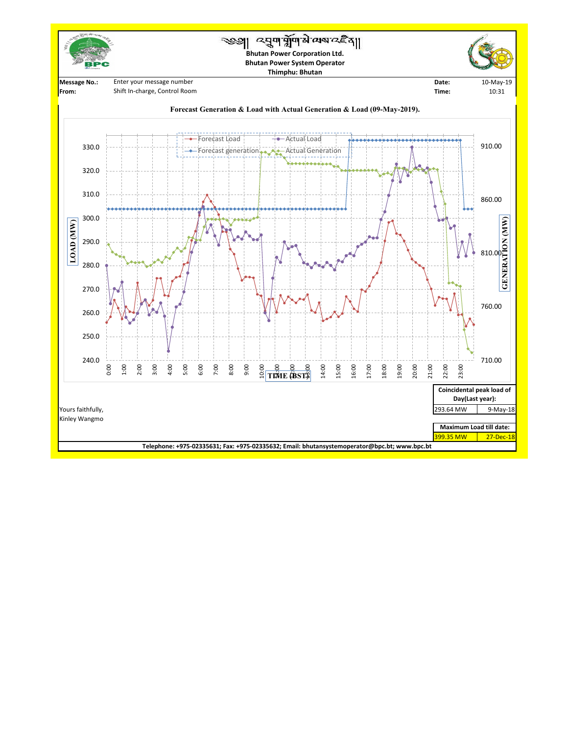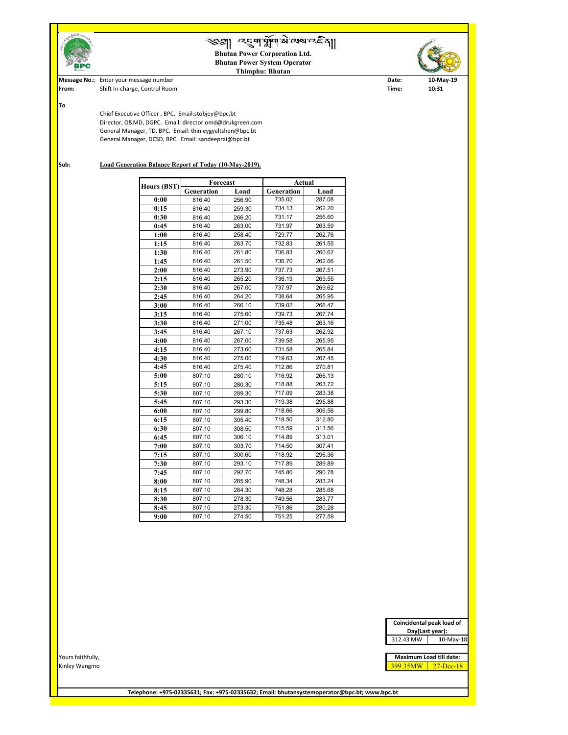|                                    | Coincidental peak load of<br>Day(Last year):         |
|------------------------------------|------------------------------------------------------|
|                                    | 312.43 MW<br>10-May-18                               |
| Yours faithfully,<br>Kinley Wangmo | Maximum Load till date:<br>399.35MW<br>$27 - Dec-18$ |



**Telephone: +975-02335631; Fax: +975-02335632; Email: bhutansystemoperator@bpc.bt; www.bpc.bt**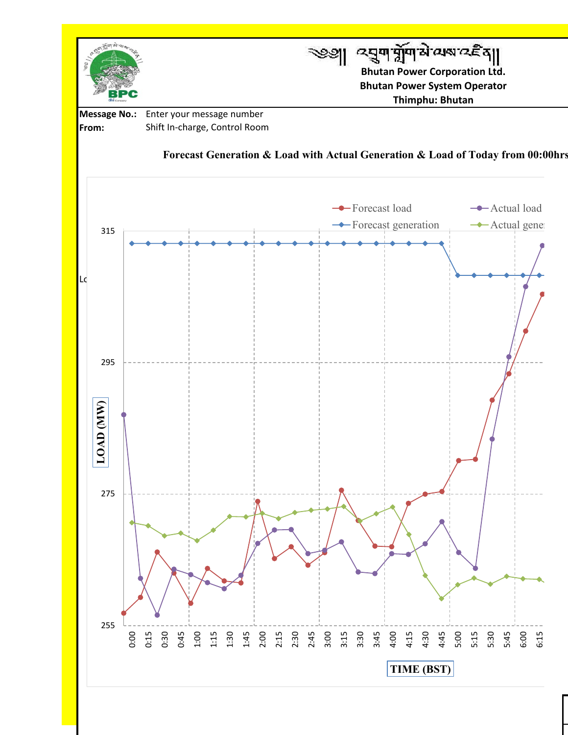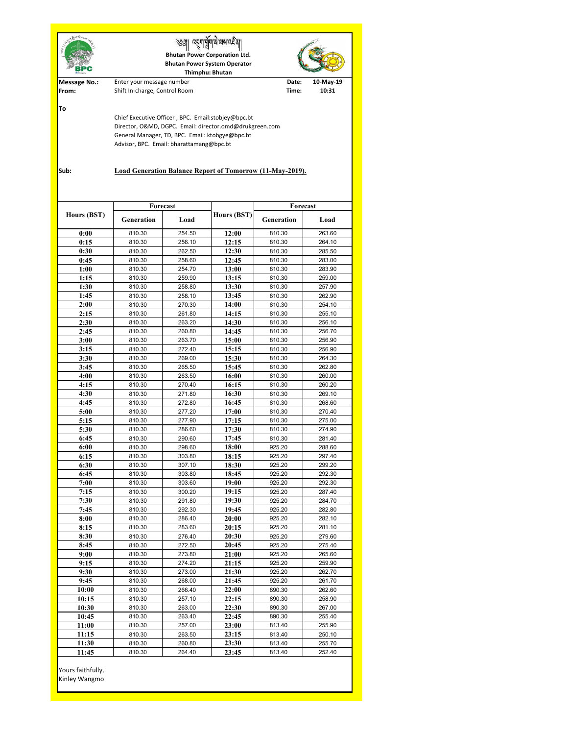|                                                                                                                                                                                                                                                                                         | ्याम मुमाओ व्यवाद है ह<br><b>Bhutan Power Corporation Ltd.</b><br><b>Bhutan Power System Operator</b><br>Thimphu: Bhutan |                  |                    |                                       |                  |  |  |  |  |
|-----------------------------------------------------------------------------------------------------------------------------------------------------------------------------------------------------------------------------------------------------------------------------------------|--------------------------------------------------------------------------------------------------------------------------|------------------|--------------------|---------------------------------------|------------------|--|--|--|--|
| <b>Message No.:</b><br>From:                                                                                                                                                                                                                                                            | Enter your message number<br>Shift In-charge, Control Room                                                               |                  | Date:<br>Time:     | 10-May-19<br>10:31                    |                  |  |  |  |  |
| To<br>Chief Executive Officer, BPC. Email:stobjey@bpc.bt<br>Director, O&MD, DGPC. Email: director.omd@drukgreen.com<br>General Manager, TD, BPC. Email: ktobgye@bpc.bt<br>Advisor, BPC. Email: bharattamang@bpc.bt<br>Load Generation Balance Report of Tomorrow (11-May-2019).<br>Sub: |                                                                                                                          |                  |                    |                                       |                  |  |  |  |  |
| <b>Hours (BST)</b>                                                                                                                                                                                                                                                                      | Forecast<br><b>Generation</b>                                                                                            | Load             | <b>Hours (BST)</b> | <b>Forecast</b><br>Generation<br>Load |                  |  |  |  |  |
|                                                                                                                                                                                                                                                                                         |                                                                                                                          |                  |                    |                                       |                  |  |  |  |  |
| 0:00                                                                                                                                                                                                                                                                                    | 810.30                                                                                                                   | 254.50           | 12:00              | 810.30                                | 263.60           |  |  |  |  |
| 0:15<br>0:30                                                                                                                                                                                                                                                                            | 810.30<br>810.30                                                                                                         | 256.10<br>262.50 | 12:15<br>12:30     | 810.30<br>810.30                      | 264.10<br>285.50 |  |  |  |  |
| 0:45                                                                                                                                                                                                                                                                                    | 810.30                                                                                                                   | 258.60           | 12:45              | 810.30                                | 283.00           |  |  |  |  |
| 1:00                                                                                                                                                                                                                                                                                    | 810.30                                                                                                                   | 254.70           | 13:00              | 810.30                                | 283.90           |  |  |  |  |
| 1:15                                                                                                                                                                                                                                                                                    | 810.30                                                                                                                   | 259.90           | 13:15              | 810.30                                | 259.00           |  |  |  |  |
| 1:30                                                                                                                                                                                                                                                                                    | 810.30                                                                                                                   | 258.80           | 13:30              | 810.30                                | 257.90           |  |  |  |  |
| 1:45                                                                                                                                                                                                                                                                                    | 810.30                                                                                                                   | 258.10           | 13:45              | 810.30                                | 262.90           |  |  |  |  |
| 2:00                                                                                                                                                                                                                                                                                    | 810.30                                                                                                                   | 270.30           | 14:00              | 810.30                                | 254.10           |  |  |  |  |
| 2:15                                                                                                                                                                                                                                                                                    | 810.30                                                                                                                   | 261.80           | 14:15              | 810.30                                | 255.10           |  |  |  |  |
| 2:30                                                                                                                                                                                                                                                                                    | 810.30                                                                                                                   | 263.20           | 14:30              | 810.30                                | 256.10           |  |  |  |  |
| 2:45                                                                                                                                                                                                                                                                                    | 810.30                                                                                                                   | 260.80           | 14:45              | 810.30                                | 256.70           |  |  |  |  |
| 3:00                                                                                                                                                                                                                                                                                    | 810.30                                                                                                                   | 263.70           | 15:00              | 810.30                                | 256.90           |  |  |  |  |
| 3:15                                                                                                                                                                                                                                                                                    | 810.30                                                                                                                   | 272.40           | 15:15              | 810.30                                | 256.90           |  |  |  |  |
| 3:30                                                                                                                                                                                                                                                                                    | 810.30                                                                                                                   | 269.00           | 15:30              | 810.30                                | 264.30           |  |  |  |  |
| 3:45                                                                                                                                                                                                                                                                                    | 810.30                                                                                                                   | 265.50           | 15:45              | 810.30                                | 262.80           |  |  |  |  |
| 4:00                                                                                                                                                                                                                                                                                    | 810.30                                                                                                                   | 263.50           | 16:00              | 810.30                                | 260.00           |  |  |  |  |
| 4:15                                                                                                                                                                                                                                                                                    | 810.30                                                                                                                   | 270.40           | 16:15              | 810.30                                | 260.20           |  |  |  |  |
| 4:30                                                                                                                                                                                                                                                                                    | 810.30                                                                                                                   | 271.80           | 16:30              | 810.30                                | 269.10           |  |  |  |  |
| 4:45                                                                                                                                                                                                                                                                                    | 810.30                                                                                                                   | 272.80           | 16:45              | 810.30                                | 268.60           |  |  |  |  |
| 5:00                                                                                                                                                                                                                                                                                    | 810.30                                                                                                                   | 277.20           | 17:00              | 810.30                                | 270.40           |  |  |  |  |
| 5:15                                                                                                                                                                                                                                                                                    | 810.30                                                                                                                   | 277.90           | 17:15              | 810.30                                | 275.00           |  |  |  |  |
| 5:30                                                                                                                                                                                                                                                                                    | 810.30                                                                                                                   | 286.60           | 17:30              | 810.30                                | 274.90           |  |  |  |  |
| 6:45                                                                                                                                                                                                                                                                                    | 810.30                                                                                                                   | 290.60           | 17:45              | 810.30                                | 281.40           |  |  |  |  |
| 6:00                                                                                                                                                                                                                                                                                    | 810.30                                                                                                                   | 298.60           | 18:00              | 925.20                                | 288.60           |  |  |  |  |
| 6:15                                                                                                                                                                                                                                                                                    | 810.30                                                                                                                   | 303.80           | 18:15              | 925.20                                | 297.40           |  |  |  |  |
| 6:30<br>6:45                                                                                                                                                                                                                                                                            | 810.30<br>810.30                                                                                                         | 307.10<br>303.80 | 18:30<br>18:45     | 925.20<br>925.20                      | 299.20<br>292.30 |  |  |  |  |
| 7:00                                                                                                                                                                                                                                                                                    | 810.30                                                                                                                   | 303.60           | 19:00              | 925.20                                | 292.30           |  |  |  |  |
| 7:15                                                                                                                                                                                                                                                                                    | 810.30                                                                                                                   | 300.20           | 19:15              | 925.20                                | 287.40           |  |  |  |  |
| 7:30                                                                                                                                                                                                                                                                                    | 810.30                                                                                                                   | 291.80           | 19:30              | 925.20                                | 284.70           |  |  |  |  |
| 7:45                                                                                                                                                                                                                                                                                    | 810.30                                                                                                                   | 292.30           | 19:45              | 925.20                                | 282.80           |  |  |  |  |
| 8:00                                                                                                                                                                                                                                                                                    | 810.30                                                                                                                   | 286.40           | 20:00              | 925.20                                | 282.10           |  |  |  |  |
| 8:15                                                                                                                                                                                                                                                                                    | 810.30                                                                                                                   | 283.60           | 20:15              | 925.20                                | 281.10           |  |  |  |  |
| 8:30                                                                                                                                                                                                                                                                                    | 810.30                                                                                                                   | 276.40           | 20:30              | 925.20                                | 279.60           |  |  |  |  |
| 8:45                                                                                                                                                                                                                                                                                    | 810.30                                                                                                                   | 272.50           | 20:45              | 925.20                                | 275.40           |  |  |  |  |
| 9:00                                                                                                                                                                                                                                                                                    | 810.30                                                                                                                   | 273.80           | 21:00              | 925.20                                | 265.60           |  |  |  |  |
| 9:15                                                                                                                                                                                                                                                                                    | 810.30                                                                                                                   | 274.20           | 21:15              | 925.20                                | 259.90           |  |  |  |  |
| 9:30                                                                                                                                                                                                                                                                                    | 810.30                                                                                                                   | 273.00           | 21:30              | 925.20                                | 262.70           |  |  |  |  |
| 9:45                                                                                                                                                                                                                                                                                    | 810.30                                                                                                                   | 268.00           | 21:45              | 925.20                                | 261.70           |  |  |  |  |
| 10:00                                                                                                                                                                                                                                                                                   | 810.30                                                                                                                   | 266.40           | 22:00              | 890.30                                | 262.60           |  |  |  |  |
| 10:15                                                                                                                                                                                                                                                                                   | 810.30                                                                                                                   | 257.10           | 22:15              | 890.30                                | 258.90           |  |  |  |  |
| 10:30                                                                                                                                                                                                                                                                                   | 810.30                                                                                                                   | 263.00           | 22:30              | 890.30                                | 267.00           |  |  |  |  |
| 10:45                                                                                                                                                                                                                                                                                   | 810.30                                                                                                                   | 263.40           | 22:45              | 890.30                                | 255.40           |  |  |  |  |
| 11:00<br>11:15                                                                                                                                                                                                                                                                          | 810.30<br>810.30                                                                                                         | 257.00<br>263.50 | 23:00<br>23:15     | 813.40<br>813.40                      | 255.90<br>250.10 |  |  |  |  |
| 11:30                                                                                                                                                                                                                                                                                   | 810.30                                                                                                                   | 260.80           | 23:30              | 813.40                                | 255.70           |  |  |  |  |
|                                                                                                                                                                                                                                                                                         |                                                                                                                          |                  |                    |                                       |                  |  |  |  |  |
| 11:45<br>Yours faithfully,<br>Kinley Wangmo                                                                                                                                                                                                                                             | 810.30                                                                                                                   | 264.40           | 23:45              | 813.40                                | 252.40           |  |  |  |  |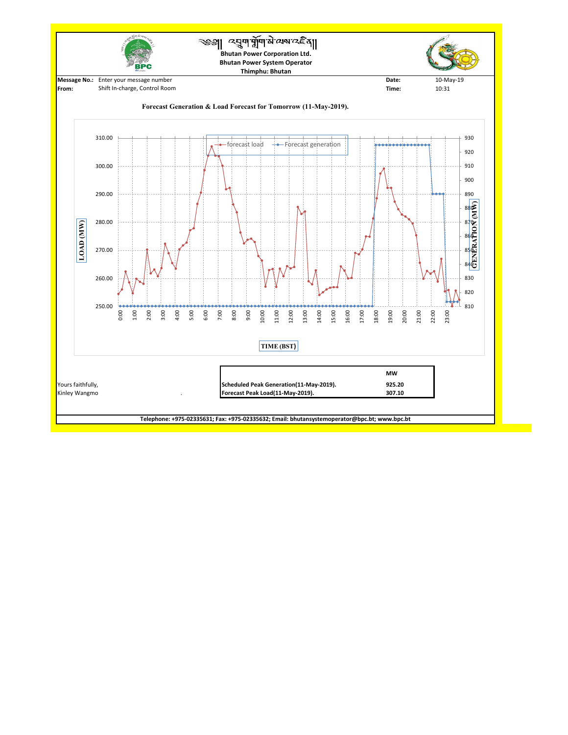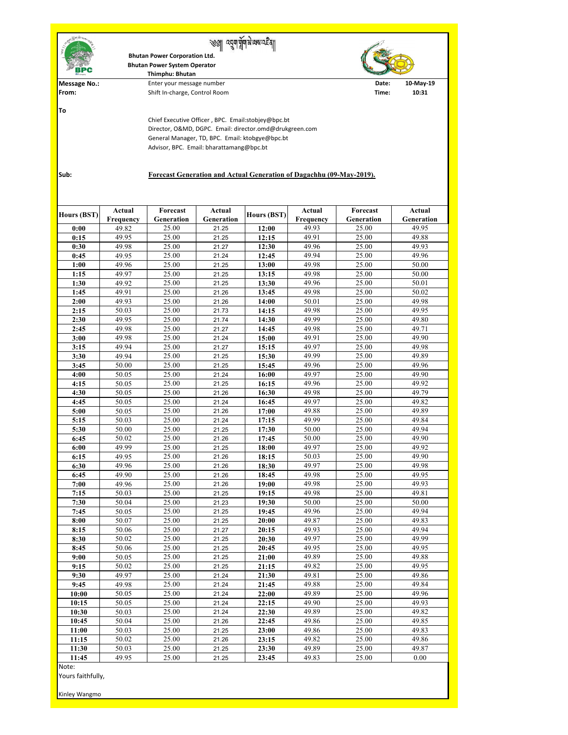| 同国司司                       |                                                                      | <b>Bhutan Power Corporation Ltd.</b><br><b>Bhutan Power System Operator</b><br>Thimphu: Bhutan |                             |                    |                                   |                        |                             |  |  |  |  |
|----------------------------|----------------------------------------------------------------------|------------------------------------------------------------------------------------------------|-----------------------------|--------------------|-----------------------------------|------------------------|-----------------------------|--|--|--|--|
| <b>Message No.:</b>        |                                                                      | Enter your message number                                                                      | Date:                       | 10-May-19          |                                   |                        |                             |  |  |  |  |
| From:                      | Shift In-charge, Control Room<br>Time:<br>10:31                      |                                                                                                |                             |                    |                                   |                        |                             |  |  |  |  |
| To                         |                                                                      |                                                                                                |                             |                    |                                   |                        |                             |  |  |  |  |
|                            | Chief Executive Officer, BPC. Email:stobjey@bpc.bt                   |                                                                                                |                             |                    |                                   |                        |                             |  |  |  |  |
|                            | Director, O&MD, DGPC. Email: director.omd@drukgreen.com              |                                                                                                |                             |                    |                                   |                        |                             |  |  |  |  |
|                            | General Manager, TD, BPC. Email: ktobgye@bpc.bt                      |                                                                                                |                             |                    |                                   |                        |                             |  |  |  |  |
|                            |                                                                      | Advisor, BPC. Email: bharattamang@bpc.bt                                                       |                             |                    |                                   |                        |                             |  |  |  |  |
|                            |                                                                      |                                                                                                |                             |                    |                                   |                        |                             |  |  |  |  |
| Sub:                       |                                                                      |                                                                                                |                             |                    |                                   |                        |                             |  |  |  |  |
|                            | Forecast Generation and Actual Generation of Dagachhu (09-May-2019). |                                                                                                |                             |                    |                                   |                        |                             |  |  |  |  |
|                            |                                                                      |                                                                                                |                             |                    |                                   |                        |                             |  |  |  |  |
|                            |                                                                      |                                                                                                |                             |                    |                                   |                        |                             |  |  |  |  |
| <b>Hours (BST)</b>         | <b>Actual</b><br><b>Frequency</b>                                    | <b>Forecast</b><br>Generation                                                                  | <b>Actual</b><br>Generation | <b>Hours (BST)</b> | <b>Actual</b><br><b>Frequency</b> | Forecast<br>Generation | <b>Actual</b><br>Generation |  |  |  |  |
| 0:00                       | 49.82                                                                | 25.00                                                                                          | 21.25                       | 12:00              | 49.93                             | 25.00                  | 49.95                       |  |  |  |  |
| 0:15                       | 49.95                                                                | 25.00                                                                                          | 21.25                       | 12:15              | 49.91                             | 25.00                  | 49.88                       |  |  |  |  |
| 0:30                       | 49.98                                                                | 25.00                                                                                          | 21.27                       | 12:30              | 49.96                             | 25.00                  | 49.93                       |  |  |  |  |
| 0:45                       | 49.95                                                                | 25.00                                                                                          | 21.24                       | 12:45              | 49.94                             | 25.00                  | 49.96                       |  |  |  |  |
| 1:00                       | 49.96                                                                | 25.00                                                                                          | 21.25                       | 13:00              | 49.98                             | 25.00                  | 50.00                       |  |  |  |  |
| 1:15                       | 49.97                                                                | 25.00                                                                                          | 21.25                       | 13:15              | 49.98                             | 25.00                  | 50.00                       |  |  |  |  |
| 1:30<br>1:45               | 49.92<br>49.91                                                       | 25.00<br>25.00                                                                                 | 21.25<br>21.26              | 13:30<br>13:45     | 49.96<br>49.98                    | 25.00<br>25.00         | 50.01<br>50.02              |  |  |  |  |
| 2:00                       | 49.93                                                                | 25.00                                                                                          | 21.26                       | <b>14:00</b>       | 50.01                             | 25.00                  | 49.98                       |  |  |  |  |
| 2:15                       | 50.03                                                                | 25.00                                                                                          | 21.73                       | 14:15              | 49.98                             | 25.00                  | 49.95                       |  |  |  |  |
| 2:30                       | 49.95                                                                | 25.00                                                                                          | 21.74                       | 14:30              | 49.99                             | 25.00                  | 49.80                       |  |  |  |  |
| 2:45                       | 49.98                                                                | 25.00                                                                                          | 21.27                       | 14:45              | 49.98                             | 25.00                  | 49.71                       |  |  |  |  |
| 3:00                       | 49.98                                                                | 25.00                                                                                          | 21.24                       | 15:00              | 49.91                             | 25.00                  | 49.90                       |  |  |  |  |
| 3:15<br>3:30               | 49.94<br>49.94                                                       | 25.00<br>25.00                                                                                 | 21.27<br>21.25              | 15:15<br>15:30     | 49.97<br>49.99                    | 25.00<br>25.00         | 49.98<br>49.89              |  |  |  |  |
| 3:45                       | 50.00                                                                | 25.00                                                                                          | 21.25                       | 15:45              | 49.96                             | 25.00                  | 49.96                       |  |  |  |  |
| 4:00                       | 50.05                                                                | 25.00                                                                                          | 21.24                       | 16:00              | 49.97                             | 25.00                  | 49.90                       |  |  |  |  |
| 4:15                       | 50.05                                                                | 25.00                                                                                          | 21.25                       | 16:15              | 49.96                             | 25.00                  | 49.92                       |  |  |  |  |
| 4:30                       | 50.05                                                                | 25.00                                                                                          | 21.26                       | 16:30              | 49.98                             | 25.00                  | 49.79                       |  |  |  |  |
| 4:45                       | 50.05                                                                | 25.00                                                                                          | 21.24                       | 16:45              | 49.97                             | 25.00                  | 49.82                       |  |  |  |  |
| 5:00<br>5:15               | 50.05<br>50.03                                                       | 25.00<br>25.00                                                                                 | 21.26<br>21.24              | 17:00<br>17:15     | 49.88<br>49.99                    | 25.00<br>25.00         | 49.89<br>49.84              |  |  |  |  |
| 5:30                       | 50.00                                                                | 25.00                                                                                          | 21.25                       | 17:30              | 50.00                             | 25.00                  | 49.94                       |  |  |  |  |
| 6:45                       | 50.02                                                                | 25.00                                                                                          | 21.26                       | 17:45              | 50.00                             | 25.00                  | 49.90                       |  |  |  |  |
| 6:00                       | 49.99                                                                | 25.00                                                                                          | 21.25                       | 18:00              | 49.97                             | 25.00                  | 49.92                       |  |  |  |  |
| 6:15                       | 49.95                                                                | 25.00                                                                                          | 21.26                       | 18:15              | 50.03                             | 25.00                  | 49.90                       |  |  |  |  |
| 6:30                       | 49.96                                                                | 25.00                                                                                          | 21.26                       | 18:30              | 49.97                             | 25.00                  | 49.98                       |  |  |  |  |
| 6:45<br>7:00               | 49.90<br>49.96                                                       | 25.00<br>25.00                                                                                 | 21.26<br>21.26              | 18:45<br>19:00     | 49.98<br>49.98                    | 25.00<br>25.00         | 49.95<br>49.93              |  |  |  |  |
| 7:15                       | 50.03                                                                | 25.00                                                                                          | 21.25                       | 19:15              | 49.98                             | 25.00                  | 49.81                       |  |  |  |  |
| 7:30                       | 50.04                                                                | 25.00                                                                                          | 21.23                       | 19:30              | 50.00                             | 25.00                  | 50.00                       |  |  |  |  |
| 7:45                       | 50.05                                                                | 25.00                                                                                          | 21.25                       | 19:45              | 49.96                             | 25.00                  | 49.94                       |  |  |  |  |
| 8:00                       | 50.07                                                                | 25.00                                                                                          | 21.25                       | 20:00              | 49.87                             | 25.00                  | 49.83                       |  |  |  |  |
| 8:15                       | 50.06<br>50.02                                                       | 25.00<br>25.00                                                                                 | 21.27                       | 20:15              | 49.93<br>49.97                    | 25.00<br>25.00         | 49.94<br>49.99              |  |  |  |  |
| 8:30<br>8:45               | 50.06                                                                | 25.00                                                                                          | 21.25<br>21.25              | 20:30<br>20:45     | 49.95                             | 25.00                  | 49.95                       |  |  |  |  |
| 9:00                       | 50.05                                                                | 25.00                                                                                          | 21.25                       | 21:00              | 49.89                             | 25.00                  | 49.88                       |  |  |  |  |
| 9:15                       | 50.02                                                                | 25.00                                                                                          | 21.25                       | 21:15              | 49.82                             | 25.00                  | 49.95                       |  |  |  |  |
| 9:30                       | 49.97                                                                | 25.00                                                                                          | 21.24                       | 21:30              | 49.81                             | 25.00                  | 49.86                       |  |  |  |  |
| 9:45                       | 49.98                                                                | 25.00                                                                                          | 21.24                       | 21:45              | 49.88                             | 25.00                  | 49.84                       |  |  |  |  |
| 10:00<br>10:15             | 50.05<br>50.05                                                       | 25.00<br>25.00                                                                                 | 21.24<br>21.24              | 22:00<br>22:15     | 49.89<br>49.90                    | 25.00<br>25.00         | 49.96<br>49.93              |  |  |  |  |
| 10:30                      | 50.03                                                                | 25.00                                                                                          | 21.24                       | 22:30              | 49.89                             | 25.00                  | 49.82                       |  |  |  |  |
| 10:45                      | 50.04                                                                | 25.00                                                                                          | 21.26                       | 22:45              | 49.86                             | 25.00                  | 49.85                       |  |  |  |  |
| 11:00                      | 50.03                                                                | 25.00                                                                                          | 21.25                       | 23:00              | 49.86                             | 25.00                  | 49.83                       |  |  |  |  |
| 11:15                      | 50.02                                                                | 25.00                                                                                          | 21.26                       | 23:15              | 49.82                             | 25.00                  | 49.86                       |  |  |  |  |
| 11:30                      | 50.03                                                                | 25.00                                                                                          | 21.25                       | 23:30              | 49.89                             | 25.00                  | 49.87                       |  |  |  |  |
| 11:45                      | 49.95                                                                | 25.00                                                                                          | 21.25                       | 23:45              | 49.83                             | 25.00                  | 0.00                        |  |  |  |  |
| Note:<br>Yours faithfully, |                                                                      |                                                                                                |                             |                    |                                   |                        |                             |  |  |  |  |
|                            |                                                                      |                                                                                                |                             |                    |                                   |                        |                             |  |  |  |  |
| Kinley Wangmo              |                                                                      |                                                                                                |                             |                    |                                   |                        |                             |  |  |  |  |